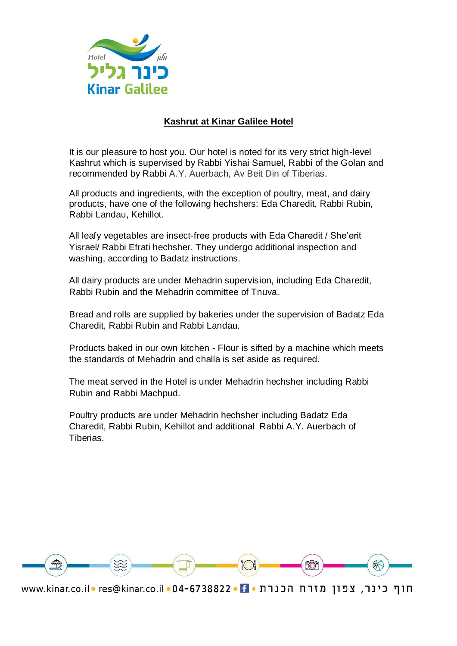

## **Kashrut at Kinar Galilee Hotel**

It is our pleasure to host you. Our hotel is noted for its very strict high-level Kashrut which is supervised by Rabbi Yishai Samuel, Rabbi of the Golan and recommended by Rabbi A.Y. Auerbach, Av Beit Din of Tiberias.

All products and ingredients, with the exception of poultry, meat, and dairy products, have one of the following hechshers: Eda Charedit, Rabbi Rubin, Rabbi Landau, Kehillot.

All leafy vegetables are insect-free products with Eda Charedit / She'erit Yisrael/ Rabbi Efrati hechsher. They undergo additional inspection and washing, according to Badatz instructions.

All dairy products are under Mehadrin supervision, including Eda Charedit, Rabbi Rubin and the Mehadrin committee of Tnuva.

Bread and rolls are supplied by bakeries under the supervision of Badatz Eda Charedit, Rabbi Rubin and Rabbi Landau.

Products baked in our own kitchen - Flour is sifted by a machine which meets the standards of Mehadrin and challa is set aside as required.

The meat served in the Hotel is under Mehadrin hechsher including Rabbi Rubin and Rabbi Machpud.

Poultry products are under Mehadrin hechsher including Badatz Eda Charedit, Rabbi Rubin, Kehillot and additional Rabbi A.Y. Auerbach of Tiberias.



חוף כינר, צפון מזרח הכנרת • 04-6738822 • 20 www.kinar.co.il • res@kinar.co.il